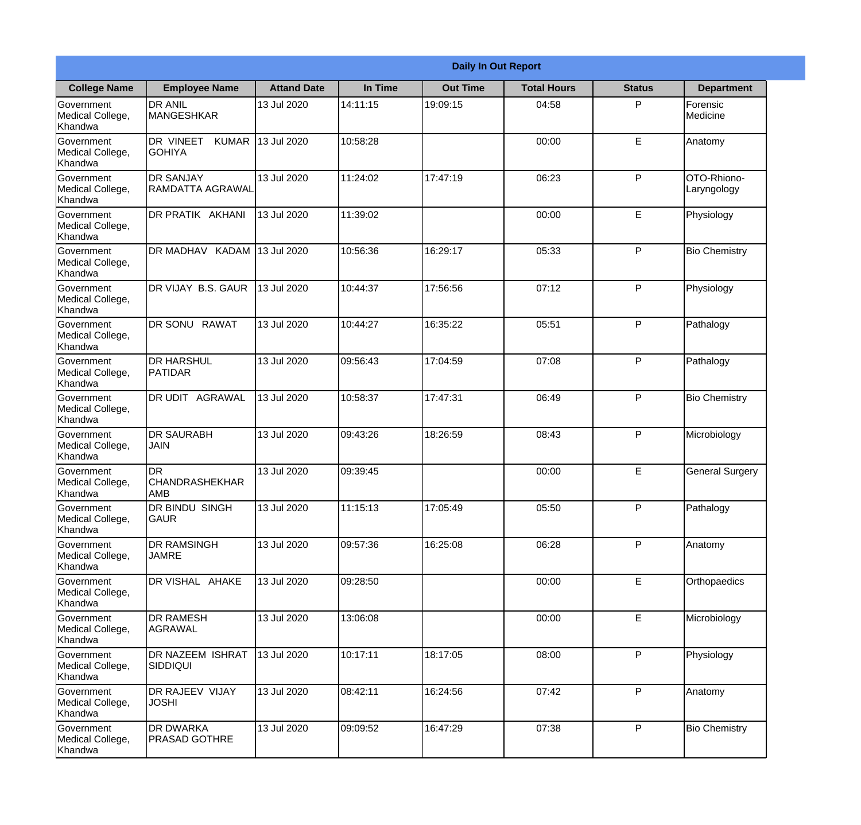|                                                  |                                            |                    |          | <b>Daily In Out Report</b> |                    |               |                            |
|--------------------------------------------------|--------------------------------------------|--------------------|----------|----------------------------|--------------------|---------------|----------------------------|
| <b>College Name</b>                              | <b>Employee Name</b>                       | <b>Attand Date</b> | In Time  | <b>Out Time</b>            | <b>Total Hours</b> | <b>Status</b> | <b>Department</b>          |
| Government<br>Medical College,<br>Khandwa        | <b>DR ANIL</b><br><b>MANGESHKAR</b>        | 13 Jul 2020        | 14:11:15 | 19:09:15                   | 04:58              | P             | Forensic<br>Medicine       |
| Government<br>Medical College,<br>Khandwa        | DR VINEET<br><b>KUMAR</b><br><b>GOHIYA</b> | 13 Jul 2020        | 10:58:28 |                            | 00:00              | E             | Anatomy                    |
| Government<br>Medical College,<br>Khandwa        | <b>DR SANJAY</b><br>IRAMDATTA AGRAWAL      | 13 Jul 2020        | 11:24:02 | 17:47:19                   | 06:23              | P             | OTO-Rhiono-<br>Laryngology |
| Government<br>Medical College,<br>Khandwa        | DR PRATIK AKHANI                           | 13 Jul 2020        | 11:39:02 |                            | 00:00              | E             | Physiology                 |
| Government<br>Medical College,<br>Khandwa        | DR MADHAV KADAM 13 Jul 2020                |                    | 10:56:36 | 16:29:17                   | 05:33              | P             | <b>Bio Chemistry</b>       |
| Government<br>Medical College,<br>Khandwa        | DR VIJAY B.S. GAUR                         | 13 Jul 2020        | 10:44:37 | 17:56:56                   | 07:12              | P             | Physiology                 |
| <b>Government</b><br>Medical College,<br>Khandwa | DR SONU RAWAT                              | 13 Jul 2020        | 10:44:27 | 16:35:22                   | 05:51              | P             | Pathalogy                  |
| Government<br>Medical College,<br>Khandwa        | <b>DR HARSHUL</b><br>PATIDAR               | 13 Jul 2020        | 09:56:43 | 17:04:59                   | 07:08              | P             | Pathalogy                  |
| Government<br>Medical College,<br>Khandwa        | <b>DR UDIT AGRAWAL</b>                     | 13 Jul 2020        | 10:58:37 | 17:47:31                   | 06:49              | P             | <b>Bio Chemistry</b>       |
| Government<br>Medical College,<br>Khandwa        | <b>DR SAURABH</b><br><b>JAIN</b>           | 13 Jul 2020        | 09:43:26 | 18:26:59                   | 08:43              | P             | Microbiology               |
| Government<br>Medical College,<br>Khandwa        | IDR<br><b>CHANDRASHEKHAR</b><br><b>AMB</b> | 13 Jul 2020        | 09:39:45 |                            | 00:00              | E             | <b>General Surgery</b>     |
| Government<br>Medical College,<br>Khandwa        | DR BINDU SINGH<br><b>GAUR</b>              | 13 Jul 2020        | 11:15:13 | 17:05:49                   | 05:50              | P             | Pathalogy                  |
| Government<br>Medical College,<br>Khandwa        | <b>DR RAMSINGH</b><br><b>JAMRE</b>         | 13 Jul 2020        | 09:57:36 | 16:25:08                   | 06:28              | P             | Anatomy                    |
| Government<br>Medical College,<br>Khandwa        | DR VISHAL AHAKE                            | 13 Jul 2020        | 09:28:50 |                            | 00:00              | E             | Orthopaedics               |
| Government<br>Medical College,<br>Khandwa        | <b>DR RAMESH</b><br>AGRAWAL                | 13 Jul 2020        | 13:06:08 |                            | 00:00              | $\mathsf E$   | Microbiology               |
| Government<br>Medical College,<br>Khandwa        | <b>DR NAZEEM ISHRAT</b><br>SIDDIQUI        | 13 Jul 2020        | 10:17:11 | 18:17:05                   | 08:00              | P             | Physiology                 |
| Government<br>Medical College,<br>Khandwa        | DR RAJEEV VIJAY<br><b>JOSHI</b>            | 13 Jul 2020        | 08:42:11 | 16:24:56                   | 07:42              | P             | Anatomy                    |
| Government<br>Medical College,<br>Khandwa        | <b>DR DWARKA</b><br><b>PRASAD GOTHRE</b>   | 13 Jul 2020        | 09:09:52 | 16:47:29                   | 07:38              | P             | <b>Bio Chemistry</b>       |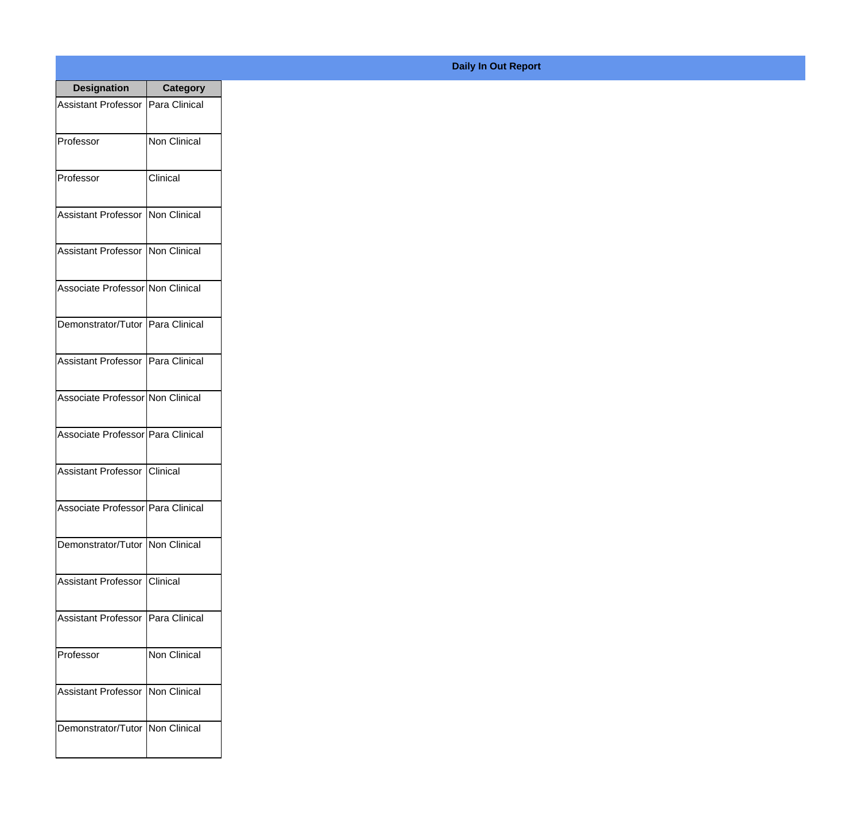| <b>Designation</b>                  | <b>Category</b>     |
|-------------------------------------|---------------------|
| Assistant Professor   Para Clinical |                     |
| Professor                           | <b>Non Clinical</b> |
| Professor                           | Clinical            |
| Assistant Professor                 | Non Clinical        |
| Assistant Professor   Non Clinical  |                     |
| Associate Professor Non Clinical    |                     |
| Demonstrator/Tutor   Para Clinical  |                     |
| Assistant Professor   Para Clinical |                     |
| Associate Professor Non Clinical    |                     |
| Associate Professor Para Clinical   |                     |
| Assistant Professor   Clinical      |                     |
| Associate Professor Para Clinical   |                     |
| Demonstrator/Tutor   Non Clinical   |                     |
| <b>Assistant Professor</b>          | Clinical            |
| <b>Assistant Professor</b>          | Para Clinical       |
| Professor                           | Non Clinical        |
| <b>Assistant Professor</b>          | Non Clinical        |
| Demonstrator/Tutor                  | Non Clinical        |

## **Daily In Out Report**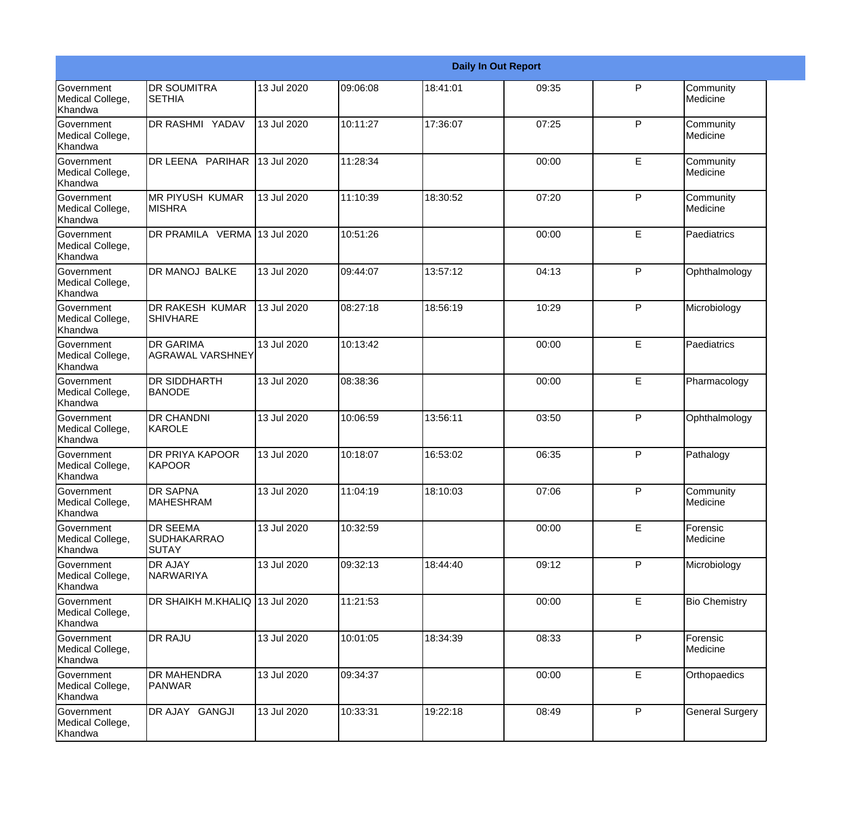|                                                  |                                                       |             |          |          | <b>Daily In Out Report</b> |              |                        |
|--------------------------------------------------|-------------------------------------------------------|-------------|----------|----------|----------------------------|--------------|------------------------|
| <b>Government</b><br>Medical College,<br>Khandwa | <b>DR SOUMITRA</b><br><b>SETHIA</b>                   | 13 Jul 2020 | 09:06:08 | 18:41:01 | 09:35                      | $\mathsf{P}$ | Community<br>Medicine  |
| Government<br>Medical College,<br>Khandwa        | DR RASHMI YADAV                                       | 13 Jul 2020 | 10:11:27 | 17:36:07 | 07:25                      | P            | Community<br>Medicine  |
| <b>Government</b><br>Medical College,<br>Khandwa | DR LEENA PARIHAR                                      | 13 Jul 2020 | 11:28:34 |          | 00:00                      | E            | Community<br>Medicine  |
| Government<br>Medical College,<br>Khandwa        | <b>MR PIYUSH KUMAR</b><br><b>MISHRA</b>               | 13 Jul 2020 | 11:10:39 | 18:30:52 | 07:20                      | P            | Community<br>Medicine  |
| Government<br>Medical College,<br>Khandwa        | DR PRAMILA VERMA                                      | 13 Jul 2020 | 10:51:26 |          | 00:00                      | E            | Paediatrics            |
| Government<br>Medical College,<br><b>Khandwa</b> | <b>DR MANOJ BALKE</b>                                 | 13 Jul 2020 | 09:44:07 | 13:57:12 | 04:13                      | P            | Ophthalmology          |
| <b>Government</b><br>Medical College,<br>Khandwa | <b>DR RAKESH KUMAR</b><br><b>SHIVHARE</b>             | 13 Jul 2020 | 08:27:18 | 18:56:19 | 10:29                      | P            | Microbiology           |
| <b>Government</b><br>Medical College,<br>Khandwa | <b>DR GARIMA</b><br><b>AGRAWAL VARSHNEY</b>           | 13 Jul 2020 | 10:13:42 |          | 00:00                      | E            | Paediatrics            |
| Government<br>Medical College,<br>Khandwa        | <b>DR SIDDHARTH</b><br><b>BANODE</b>                  | 13 Jul 2020 | 08:38:36 |          | 00:00                      | E            | Pharmacology           |
| <b>Government</b><br>Medical College,<br>Khandwa | <b>DR CHANDNI</b><br>KAROLE                           | 13 Jul 2020 | 10:06:59 | 13:56:11 | 03:50                      | P            | Ophthalmology          |
| <b>Government</b><br>Medical College,<br>Khandwa | <b>DR PRIYA KAPOOR</b><br>KAPOOR                      | 13 Jul 2020 | 10:18:07 | 16:53:02 | 06:35                      | P            | Pathalogy              |
| Government<br>Medical College,<br>Khandwa        | <b>DR SAPNA</b><br><b>MAHESHRAM</b>                   | 13 Jul 2020 | 11:04:19 | 18:10:03 | 07:06                      | P            | Community<br>Medicine  |
| Government<br>Medical College,<br>Khandwa        | <b>DR SEEMA</b><br><b>SUDHAKARRAO</b><br><b>SUTAY</b> | 13 Jul 2020 | 10:32:59 |          | 00:00                      | E            | Forensic<br>Medicine   |
| Government<br>Medical College,<br>Khandwa        | <b>DR AJAY</b><br>NARWARIYA                           | 13 Jul 2020 | 09:32:13 | 18:44:40 | 09:12                      | P            | Microbiology           |
| Government<br>Medical College,<br>Khandwa        | DR SHAIKH M.KHALIQ 13 Jul 2020                        |             | 11:21:53 |          | 00:00                      | E            | <b>Bio Chemistry</b>   |
| Government<br>Medical College,<br>Khandwa        | <b>DR RAJU</b>                                        | 13 Jul 2020 | 10:01:05 | 18:34:39 | 08:33                      | P            | Forensic<br>Medicine   |
| Government<br>Medical College,<br>Khandwa        | <b>DR MAHENDRA</b><br>PANWAR                          | 13 Jul 2020 | 09:34:37 |          | 00:00                      | $\mathsf E$  | Orthopaedics           |
| Government<br>Medical College,<br>Khandwa        | DR AJAY GANGJI                                        | 13 Jul 2020 | 10:33:31 | 19:22:18 | 08:49                      | $\mathsf{P}$ | <b>General Surgery</b> |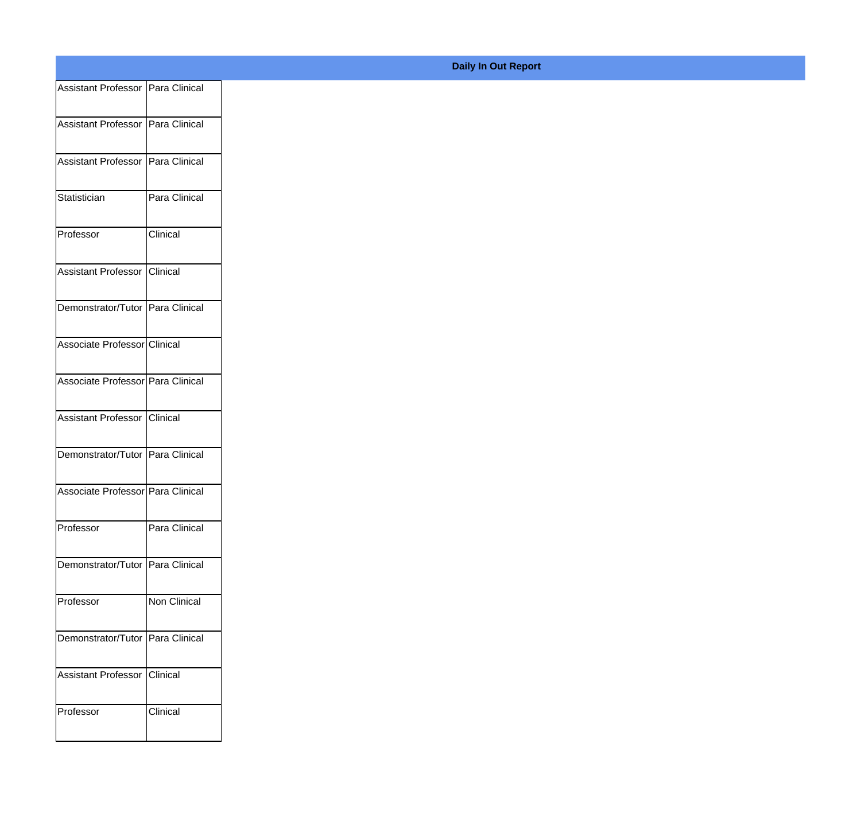| Assistant Professor Para Clinical   |               |
|-------------------------------------|---------------|
| Assistant Professor   Para Clinical |               |
|                                     |               |
| Assistant Professor Para Clinical   |               |
| Statistician                        | Para Clinical |
|                                     |               |
| Professor                           | Clinical      |
| Assistant Professor Clinical        |               |
| Demonstrator/Tutor Para Clinical    |               |
|                                     |               |
| Associate Professor Clinical        |               |
| Associate Professor Para Clinical   |               |
| Assistant Professor Clinical        |               |
|                                     |               |
| Demonstrator/Tutor Para Clinical    |               |
| Associate Professor Para Clinical   |               |
|                                     |               |
| Professor                           | Para Clinical |
| Demonstrator/Tutor Para Clinical    |               |
| Professor                           | Non Clinical  |
|                                     |               |
| Demonstrator/Tutor Para Clinical    |               |
| Assistant Professor Clinical        |               |
| Professor                           | Clinical      |
|                                     |               |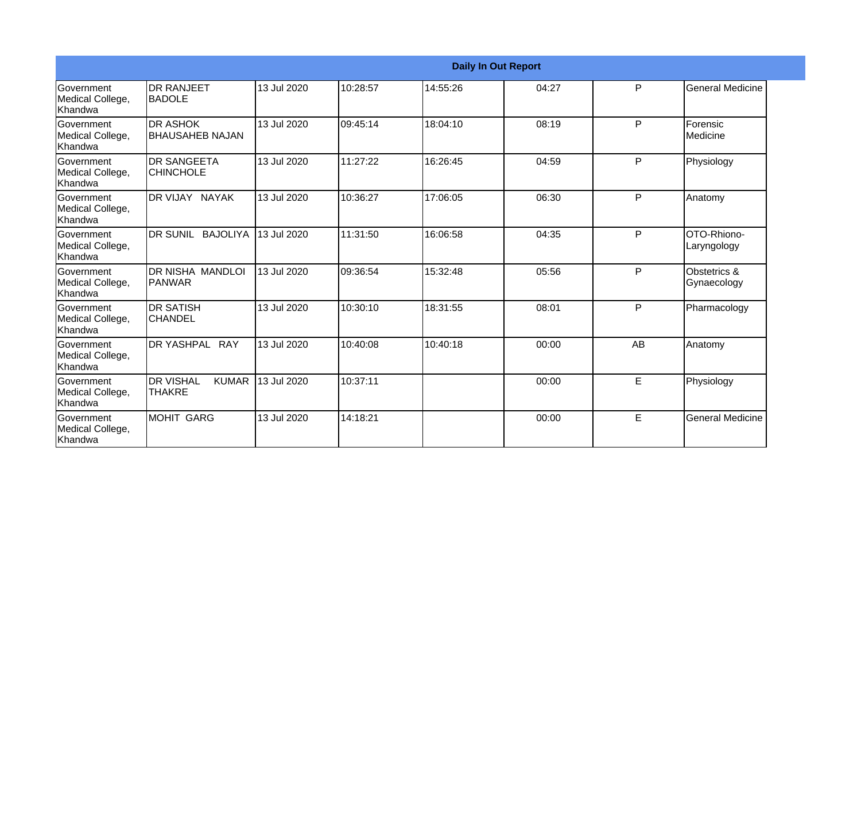|                                                  |                                            |             |          |          | <b>Daily In Out Report</b> |              |                             |
|--------------------------------------------------|--------------------------------------------|-------------|----------|----------|----------------------------|--------------|-----------------------------|
| Government<br>Medical College,<br>Khandwa        | <b>DR RANJEET</b><br><b>I</b> BADOLE       | 13 Jul 2020 | 10:28:57 | 14:55:26 | 04:27                      | P            | <b>General Medicine</b>     |
| <b>Government</b><br>Medical College,<br>Khandwa | <b>DR ASHOK</b><br><b>BHAUSAHEB NAJAN</b>  | 13 Jul 2020 | 09:45:14 | 18:04:10 | 08:19                      | P            | Forensic<br>Medicine        |
| Government<br>Medical College,<br>Khandwa        | <b>DR SANGEETA</b><br><b>CHINCHOLE</b>     | 13 Jul 2020 | 11:27:22 | 16:26:45 | 04:59                      | P            | Physiology                  |
| <b>Government</b><br>Medical College,<br>Khandwa | DR VIJAY NAYAK                             | 13 Jul 2020 | 10:36:27 | 17:06:05 | 06:30                      | P            | Anatomy                     |
| Government<br>Medical College,<br>Khandwa        | DR SUNIL BAJOLIYA                          | 13 Jul 2020 | 11:31:50 | 16:06:58 | 04:35                      | $\mathsf{P}$ | OTO-Rhiono-<br>Laryngology  |
| Government<br>Medical College,<br>Khandwa        | DR NISHA MANDLOI<br>PANWAR                 | 13 Jul 2020 | 09:36:54 | 15:32:48 | 05:56                      | P            | Obstetrics &<br>Gynaecology |
| Government<br>Medical College,<br>Khandwa        | <b>DR SATISH</b><br><b>CHANDEL</b>         | 13 Jul 2020 | 10:30:10 | 18:31:55 | 08:01                      | P            | Pharmacology                |
| Government<br>Medical College,<br>Khandwa        | DR YASHPAL RAY                             | 13 Jul 2020 | 10:40:08 | 10:40:18 | 00:00                      | AB           | Anatomy                     |
| Government<br>Medical College,<br>Khandwa        | <b>DR VISHAL</b><br><b>KUMAR</b><br>THAKRE | 13 Jul 2020 | 10:37:11 |          | 00:00                      | E            | Physiology                  |
| Government<br>Medical College,<br>Khandwa        | MOHIT GARG                                 | 13 Jul 2020 | 14:18:21 |          | 00:00                      | E            | <b>General Medicine</b>     |